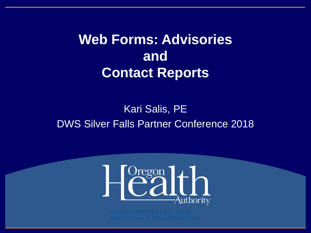**Web Forms: Advisories and Contact Reports** 

### Kari Salis, PE DWS Silver Falls Partner Conference 2018

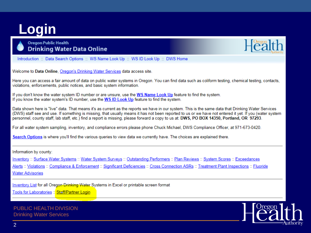# **Login**



**Oregon Public Health Drinking Water Data Online** 

Introduction :: Data Search Options :: WS Name Look Up :: WS ID Look Up :: DWS Home

Welcome to Data Online, <u>Oregon's Drinking Water Services</u> data access site.<br>Here you can access a fair amount of data on public water systems in Oregon. You can find data such as coliform testing, chemical testing, contac

If you don't know the water system ID number or are unsure, use the WS Name Look Up feature to find the system.<br>If you know the water system's ID number, use the WS ID Look Up feature to find the system.

Data shown here is "live" data. That means it's as current as the reports we have in our system. This is the same data that Drinking Water Services<br>(DWS) staff see and use. If something is missing, that usually means it ha personnel, county staff, lab staff, etc.) find a report is missing, please forward a copy to us at: DWS, PO BOX 14350, Portland, OR 97293.

For all water system sampling, inventory, and compliance errors please phone Chuck Michael, DWS Compliance Officer, at 971-673-0420.

Search Options is where you'll find the various queries to view data we currently have. The choices are explained there.

#### Information by county:

Inventory :: Surface Water Systems :: Water System Surveys :: Outstanding Performers :: Plan Reviews :: System Scores :: Exceedances Alerts :: Violations :: Compliance & Enforcement :: Significant Deficiencies :: Cross Connection ASRs :: Treatment Plant Inspections :: Fluoride **Water Advisories** 

Inventory List for all Oregon Drinking Water Systems in Excel or printable screen format Tools for Laboratories :: Staff/Partner Login

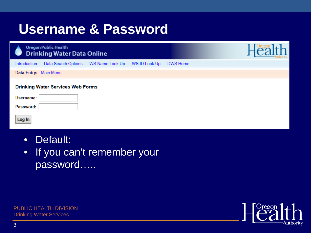## **Username & Password**

|--|

**Drinking Water Data Online** 

Introduction :: Data Search Options :: WS Name Look Up :: WS ID Look Up :: DWS Home

Data Entry: Main Menu

#### **Drinking Water Services Web Forms**

| Username: |  |
|-----------|--|
| Password: |  |

**Oregon Public Health** 

Log In

- Default:
- If you can't remember your password…..

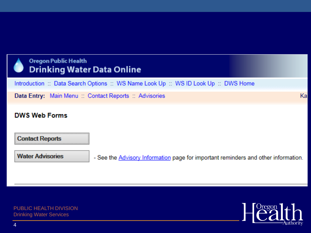

### **Oregon Public Health Drinking Water Data Online**

Introduction :: Data Search Options :: WS Name Look Up :: WS ID Look Up :: DWS Home

Data Entry: Main Menu :: Contact Reports :: Advisories

### **DWS Web Forms**

**Contact Reports** 

**Water Advisories** 

- See the **Advisory Information** page for important reminders and other information.

PUBLIC HEALTH DIVISION **Drinking Water Services** (Mixed Case)



Ka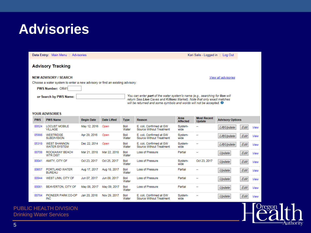### **Advisories**

Data Entry: Main Menu :: Advisories Kari Salis - Logged in :: Log Out **Advisory Tracking NEW ADVISORY / SEARCH** View all advisories Choose a water system to enter a new advisory or find an existing advisory: PWS Number: OR41 You can enter part of the water system's name (e.g., searching for lion will or Search by PWS Name: return Sea Lion Caves and Killions Market). Note that only exact matches will be returned and some symbols and words will not be accepted. <sup>4</sup> YOUR ADVISORIES Area **Most Recent Begin Date Advisory Options PWS PWS Name Date Lifted Type Reason Affected Update** 00524 **LOCUST MOBILE** May 12, 2016 Open Boil E. coli. Confirmed at GW System- $\sim$ Lift/Update Edit View VILLAGE Source Without Treatment Water wide 05998 **WESTRIDGE** Apr 29, 2016 Open Boil E. coli. Confirmed at GW System- $\sim$ Lift/Update Edit View **SUBDIVISION** Water Source Without Treatment wide 05318 **WEST SHANNON** Dec 22, 2014 Open Boil E. coli, Confirmed at GW System- $\sim$ Lift/Update Edit View **WATER SYSTEM** Water Source Without Treatment wide 00708 ROCKAWAY BEACH Mar 21, 2018 Mar 22, 2018 Boil Loss of Pressure Partial  $\overline{a}$ Edit Update View **WTR DIST** Water 00041 AMITY, CITY OF Oct 23, 2017 Oct 25, 2017 Boil Loss of Pressure System-Oct 23, 2017 Update Edit View Water wide 00657 PORTLAND WATER Aug 17, 2017 Aug 18, 2017 Boil Loss of Pressure Partial  $\overline{\phantom{a}}$ Edit Update View **BUREAU** Water 00944 WEST LINN, CITY OF Jun 09, 2017 Boil Loss of Pressure Partial Jun 07, 2017  $\sim$ Update Edit View Water 00081 BEAVERTON, CITY OF May 08, 2017 May 09, 2017 Boil **Loss of Pressure** Partial  $\sim$ Update Edit View Water 00784 PIONEER PARK CO-OP Jan 20, 2016 Nov 29, 2017 Boil E. coli. Confirmed at GW System- $\ddot{\phantom{a}}$ Edit Update View **INC** Water Source Without Treatment wide

regon

**\**uthority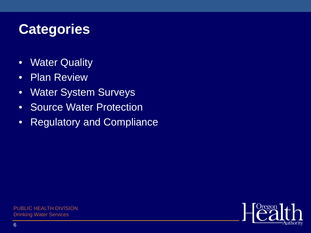## **Categories**

- Water Quality
- Plan Review
- Water System Surveys
- Source Water Protection
- Regulatory and Compliance

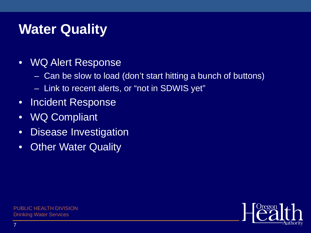# **Water Quality**

- WQ Alert Response
	- Can be slow to load (don't start hitting a bunch of buttons)
	- Link to recent alerts, or "not in SDWIS yet"
- Incident Response
- WQ Compliant
- Disease Investigation
- Other Water Quality

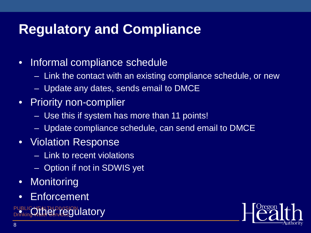# **Regulatory and Compliance**

### • Informal compliance schedule

- Link the contact with an existing compliance schedule, or new
- Update any dates, sends email to DMCE
- Priority non-complier
	- Use this if system has more than 11 points!
	- Update compliance schedule, can send email to DMCE
- Violation Response
	- Link to recent violations
	- Option if not in SDWIS yet
- Monitoring
- Enforcement
- PUBLIC NEALTH DIVISION Drinkin What Caryle Culture PUBLIC HEALTH DIVISION **PuBLICOther regulatory**

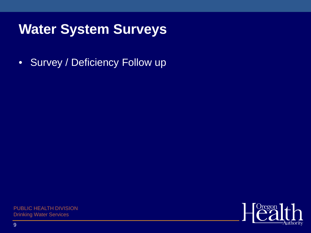## **Water System Surveys**

• Survey / Deficiency Follow up

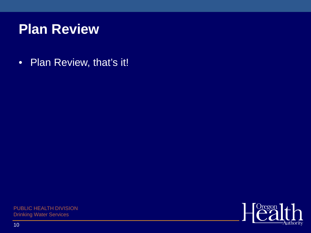## **Plan Review**

• Plan Review, that's it!